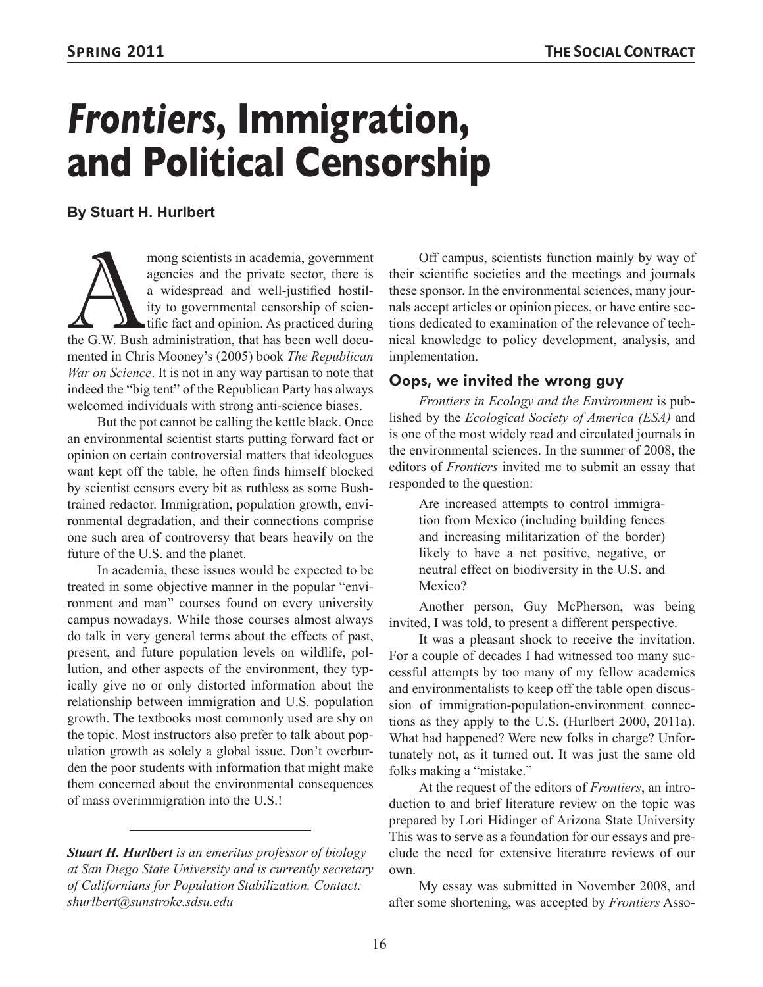# *Frontiers***, Immigration, and Political Censorship**

## **By Stuart H. Hurlbert**

mong scientists in academia, government agencies and the private sector, there is a widespread and well-justified hostility to governmental censorship of scientific fact and opinion. As practiced during the G.W. Bush admin agencies and the private sector, there is a widespread and well-justified hostility to governmental censorship of scientific fact and opinion. As practiced during mented in Chris Mooney's (2005) book *The Republican War on Science*. It is not in any way partisan to note that indeed the "big tent" of the Republican Party has always welcomed individuals with strong anti-science biases.

But the pot cannot be calling the kettle black. Once an environmental scientist starts putting forward fact or opinion on certain controversial matters that ideologues want kept off the table, he often finds himself blocked by scientist censors every bit as ruthless as some Bushtrained redactor. Immigration, population growth, environmental degradation, and their connections comprise one such area of controversy that bears heavily on the future of the U.S. and the planet.

In academia, these issues would be expected to be treated in some objective manner in the popular "environment and man" courses found on every university campus nowadays. While those courses almost always do talk in very general terms about the effects of past, present, and future population levels on wildlife, pollution, and other aspects of the environment, they typically give no or only distorted information about the relationship between immigration and U.S. population growth. The textbooks most commonly used are shy on the topic. Most instructors also prefer to talk about population growth as solely a global issue. Don't overburden the poor students with information that might make them concerned about the environmental consequences of mass overimmigration into the U.S.!

*Stuart H. Hurlbert is an emeritus professor of biology at San Diego State University and is currently secretary of Californians for Population Stabilization. Contact: shurlbert@sunstroke.sdsu.edu*

Off campus, scientists function mainly by way of their scientific societies and the meetings and journals these sponsor. In the environmental sciences, many journals accept articles or opinion pieces, or have entire sections dedicated to examination of the relevance of technical knowledge to policy development, analysis, and implementation.

#### **Oops, we invited the wrong guy**

*Frontiers in Ecology and the Environment* is published by the *Ecological Society of America (ESA)* and is one of the most widely read and circulated journals in the environmental sciences. In the summer of 2008, the editors of *Frontiers* invited me to submit an essay that responded to the question:

Are increased attempts to control immigration from Mexico (including building fences and increasing militarization of the border) likely to have a net positive, negative, or neutral effect on biodiversity in the U.S. and Mexico?

Another person, Guy McPherson, was being invited, I was told, to present a different perspective.

It was a pleasant shock to receive the invitation. For a couple of decades I had witnessed too many successful attempts by too many of my fellow academics and environmentalists to keep off the table open discussion of immigration-population-environment connections as they apply to the U.S. (Hurlbert 2000, 2011a). What had happened? Were new folks in charge? Unfortunately not, as it turned out. It was just the same old folks making a "mistake."

At the request of the editors of *Frontiers*, an introduction to and brief literature review on the topic was prepared by Lori Hidinger of Arizona State University This was to serve as a foundation for our essays and preclude the need for extensive literature reviews of our own.

My essay was submitted in November 2008, and after some shortening, was accepted by *Frontiers* Asso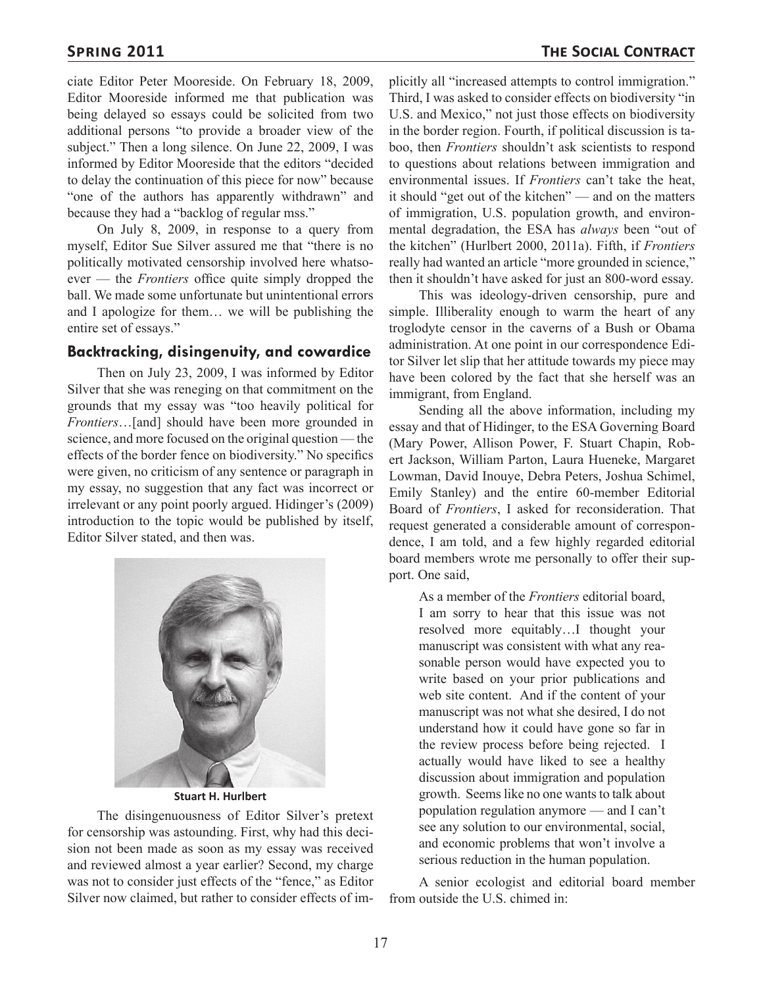ciate Editor Peter Mooreside. On February 18, 2009, Editor Mooreside informed me that publication was being delayed so essays could be solicited from two additional persons "to provide a broader view of the subject." Then a long silence. On June 22, 2009, I was informed by Editor Mooreside that the editors "decided to delay the continuation of this piece for now" because "one of the authors has apparently withdrawn" and because they had a "backlog of regular mss."

On July 8, 2009, in response to a query from myself, Editor Sue Silver assured me that "there is no politically motivated censorship involved here whatsoever — the *Frontiers* office quite simply dropped the ball. We made some unfortunate but unintentional errors and I apologize for them… we will be publishing the entire set of essays."

#### **Backtracking, disingenuity, and cowardice**

Then on July 23, 2009, I was informed by Editor Silver that she was reneging on that commitment on the grounds that my essay was "too heavily political for *Frontiers*…[and] should have been more grounded in science, and more focused on the original question — the effects of the border fence on biodiversity." No specifics were given, no criticism of any sentence or paragraph in my essay, no suggestion that any fact was incorrect or irrelevant or any point poorly argued. Hidinger's (2009) introduction to the topic would be published by itself, Editor Silver stated, and then was.



**Stuart H. Hurlbert**

The disingenuousness of Editor Silver's pretext for censorship was astounding. First, why had this decision not been made as soon as my essay was received and reviewed almost a year earlier? Second, my charge was not to consider just effects of the "fence," as Editor Silver now claimed, but rather to consider effects of im-

plicitly all "increased attempts to control immigration." Third, I was asked to consider effects on biodiversity "in U.S. and Mexico," not just those effects on biodiversity in the border region. Fourth, if political discussion is taboo, then *Frontiers* shouldn't ask scientists to respond to questions about relations between immigration and environmental issues. If *Frontiers* can't take the heat, it should "get out of the kitchen" — and on the matters of immigration, U.S. population growth, and environmental degradation, the ESA has *always* been "out of the kitchen" (Hurlbert 2000, 2011a). Fifth, if *Frontiers* really had wanted an article "more grounded in science," then it shouldn't have asked for just an 800-word essay.

This was ideology-driven censorship, pure and simple. Illiberality enough to warm the heart of any troglodyte censor in the caverns of a Bush or Obama administration. At one point in our correspondence Editor Silver let slip that her attitude towards my piece may have been colored by the fact that she herself was an immigrant, from England.

Sending all the above information, including my essay and that of Hidinger, to the ESA Governing Board (Mary Power, Allison Power, F. Stuart Chapin, Robert Jackson, William Parton, Laura Hueneke, Margaret Lowman, David Inouye, Debra Peters, Joshua Schimel, Emily Stanley) and the entire 60-member Editorial Board of *Frontiers*, I asked for reconsideration. That request generated a considerable amount of correspondence, I am told, and a few highly regarded editorial board members wrote me personally to offer their support. One said,

As a member of the *Frontiers* editorial board, I am sorry to hear that this issue was not resolved more equitably…I thought your manuscript was consistent with what any reasonable person would have expected you to write based on your prior publications and web site content. And if the content of your manuscript was not what she desired, I do not understand how it could have gone so far in the review process before being rejected. I actually would have liked to see a healthy discussion about immigration and population growth. Seems like no one wants to talk about population regulation anymore — and I can't see any solution to our environmental, social, and economic problems that won't involve a serious reduction in the human population.

A senior ecologist and editorial board member from outside the U.S. chimed in: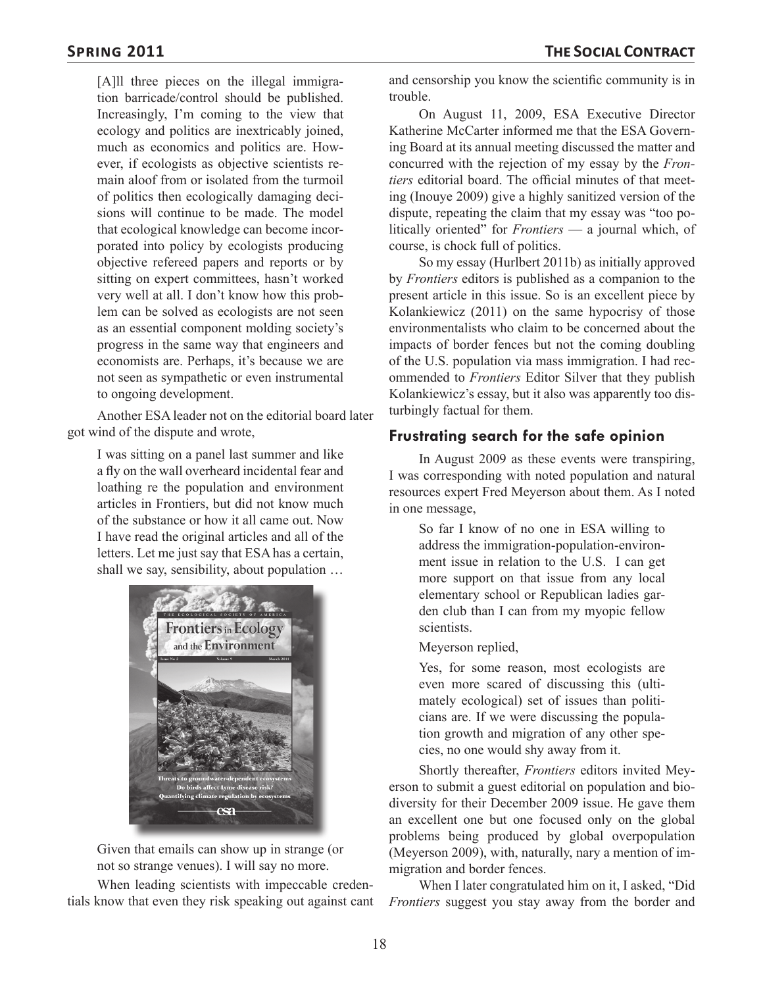[A]ll three pieces on the illegal immigration barricade/control should be published. Increasingly, I'm coming to the view that ecology and politics are inextricably joined, much as economics and politics are. However, if ecologists as objective scientists remain aloof from or isolated from the turmoil of politics then ecologically damaging decisions will continue to be made. The model that ecological knowledge can become incorporated into policy by ecologists producing objective refereed papers and reports or by sitting on expert committees, hasn't worked very well at all. I don't know how this problem can be solved as ecologists are not seen as an essential component molding society's progress in the same way that engineers and economists are. Perhaps, it's because we are not seen as sympathetic or even instrumental to ongoing development.

Another ESA leader not on the editorial board later got wind of the dispute and wrote,

I was sitting on a panel last summer and like a fly on the wall overheard incidental fear and loathing re the population and environment articles in Frontiers, but did not know much of the substance or how it all came out. Now I have read the original articles and all of the letters. Let me just say that ESA has a certain, shall we say, sensibility, about population …



Given that emails can show up in strange (or not so strange venues). I will say no more.

When leading scientists with impeccable credentials know that even they risk speaking out against cant and censorship you know the scientific community is in trouble.

On August 11, 2009, ESA Executive Director Katherine McCarter informed me that the ESA Governing Board at its annual meeting discussed the matter and concurred with the rejection of my essay by the *Frontiers* editorial board. The official minutes of that meeting (Inouye 2009) give a highly sanitized version of the dispute, repeating the claim that my essay was "too politically oriented" for *Frontiers* — a journal which, of course, is chock full of politics.

So my essay (Hurlbert 2011b) as initially approved by *Frontiers* editors is published as a companion to the present article in this issue. So is an excellent piece by Kolankiewicz (2011) on the same hypocrisy of those environmentalists who claim to be concerned about the impacts of border fences but not the coming doubling of the U.S. population via mass immigration. I had recommended to *Frontiers* Editor Silver that they publish Kolankiewicz's essay, but it also was apparently too disturbingly factual for them.

## **Frustrating search for the safe opinion**

In August 2009 as these events were transpiring, I was corresponding with noted population and natural resources expert Fred Meyerson about them. As I noted in one message,

So far I know of no one in ESA willing to address the immigration-population-environment issue in relation to the U.S. I can get more support on that issue from any local elementary school or Republican ladies garden club than I can from my myopic fellow scientists.

Meyerson replied,

Yes, for some reason, most ecologists are even more scared of discussing this (ultimately ecological) set of issues than politicians are. If we were discussing the population growth and migration of any other species, no one would shy away from it.

Shortly thereafter, *Frontiers* editors invited Meyerson to submit a guest editorial on population and biodiversity for their December 2009 issue. He gave them an excellent one but one focused only on the global problems being produced by global overpopulation (Meyerson 2009), with, naturally, nary a mention of immigration and border fences.

When I later congratulated him on it, I asked, "Did *Frontiers* suggest you stay away from the border and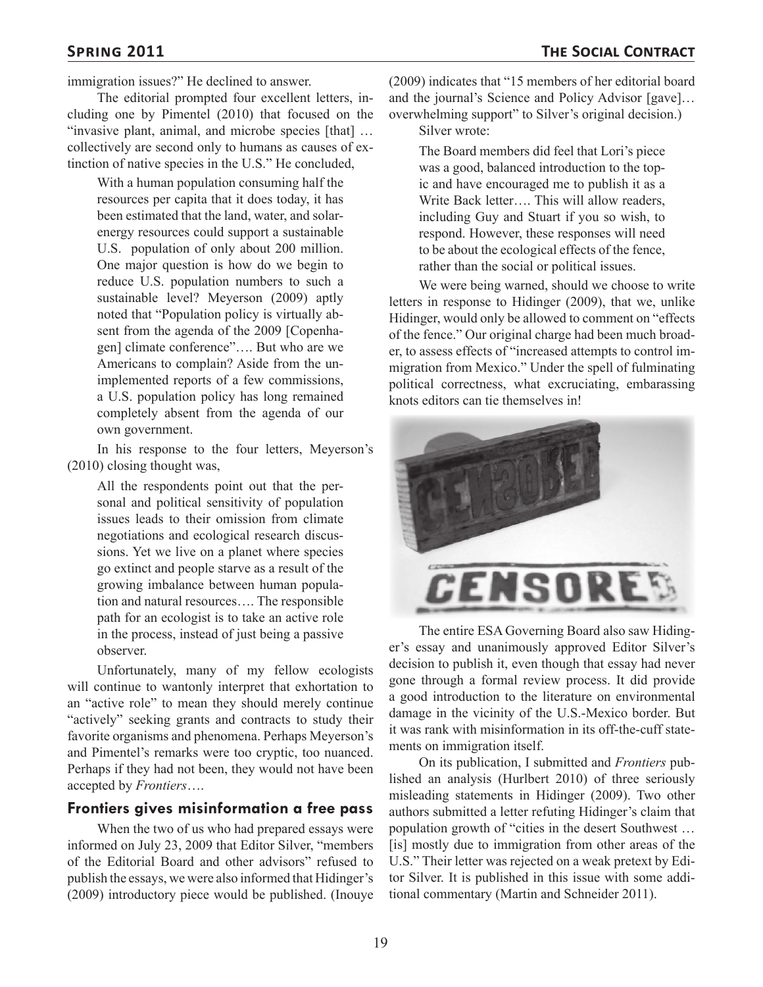immigration issues?" He declined to answer.

The editorial prompted four excellent letters, including one by Pimentel (2010) that focused on the "invasive plant, animal, and microbe species [that] … collectively are second only to humans as causes of extinction of native species in the U.S." He concluded,

With a human population consuming half the resources per capita that it does today, it has been estimated that the land, water, and solarenergy resources could support a sustainable U.S. population of only about 200 million. One major question is how do we begin to reduce U.S. population numbers to such a sustainable level? Meyerson (2009) aptly noted that "Population policy is virtually absent from the agenda of the 2009 [Copenhagen] climate conference"…. But who are we Americans to complain? Aside from the unimplemented reports of a few commissions, a U.S. population policy has long remained completely absent from the agenda of our own government.

In his response to the four letters, Meyerson's (2010) closing thought was,

All the respondents point out that the personal and political sensitivity of population issues leads to their omission from climate negotiations and ecological research discussions. Yet we live on a planet where species go extinct and people starve as a result of the growing imbalance between human population and natural resources…. The responsible path for an ecologist is to take an active role in the process, instead of just being a passive observer.

Unfortunately, many of my fellow ecologists will continue to wantonly interpret that exhortation to an "active role" to mean they should merely continue "actively" seeking grants and contracts to study their favorite organisms and phenomena. Perhaps Meyerson's and Pimentel's remarks were too cryptic, too nuanced. Perhaps if they had not been, they would not have been accepted by *Frontiers*….

#### **Frontiers gives misinformation a free pass**

When the two of us who had prepared essays were informed on July 23, 2009 that Editor Silver, "members of the Editorial Board and other advisors" refused to publish the essays, we were also informed that Hidinger's (2009) introductory piece would be published. (Inouye

(2009) indicates that "15 members of her editorial board and the journal's Science and Policy Advisor [gave]… overwhelming support" to Silver's original decision.)

Silver wrote:

The Board members did feel that Lori's piece was a good, balanced introduction to the topic and have encouraged me to publish it as a Write Back letter…. This will allow readers, including Guy and Stuart if you so wish, to respond. However, these responses will need to be about the ecological effects of the fence, rather than the social or political issues.

We were being warned, should we choose to write letters in response to Hidinger (2009), that we, unlike Hidinger, would only be allowed to comment on "effects of the fence." Our original charge had been much broader, to assess effects of "increased attempts to control immigration from Mexico." Under the spell of fulminating political correctness, what excruciating, embarassing knots editors can tie themselves in!



The entire ESA Governing Board also saw Hidinger's essay and unanimously approved Editor Silver's decision to publish it, even though that essay had never gone through a formal review process. It did provide a good introduction to the literature on environmental damage in the vicinity of the U.S.-Mexico border. But it was rank with misinformation in its off-the-cuff statements on immigration itself.

On its publication, I submitted and *Frontiers* published an analysis (Hurlbert 2010) of three seriously misleading statements in Hidinger (2009). Two other authors submitted a letter refuting Hidinger's claim that population growth of "cities in the desert Southwest … [is] mostly due to immigration from other areas of the U.S." Their letter was rejected on a weak pretext by Editor Silver. It is published in this issue with some additional commentary (Martin and Schneider 2011).